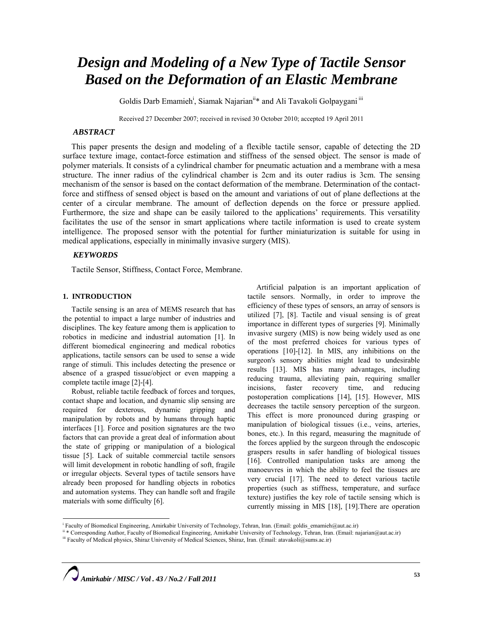# *Design and Modeling of a New Type of Tactile Sensor Based on the Deformation of an Elastic Membrane*

Goldis Darb Emamieh<sup>i</sup>, Siamak Najarian<sup>ii</sup>\* and Ali Tavakoli Golpaygani<sup>iii</sup>

Received 27 December 2007; received in revised 30 October 2010; accepted 19 April 2011

# *ABSTRACT*

This paper presents the design and modeling of a flexible tactile sensor, capable of detecting the 2D surface texture image, contact-force estimation and stiffness of the sensed object. The sensor is made of polymer materials. It consists of a cylindrical chamber for pneumatic actuation and a membrane with a mesa structure. The inner radius of the cylindrical chamber is 2cm and its outer radius is 3cm. The sensing mechanism of the sensor is based on the contact deformation of the membrane. Determination of the contactforce and stiffness of sensed object is based on the amount and variations of out of plane deflections at the center of a circular membrane. The amount of deflection depends on the force or pressure applied. Furthermore, the size and shape can be easily tailored to the applications' requirements. This versatility facilitates the use of the sensor in smart applications where tactile information is used to create system intelligence. The proposed sensor with the potential for further miniaturization is suitable for using in medical applications, especially in minimally invasive surgery (MIS).

# *KEYWORDS*

Tactile Sensor, Stiffness, Contact Force, Membrane.

# **1. INTRODUCTION**

Tactile sensing is an area of MEMS research that has the potential to impact a large number of industries and disciplines. The key feature among them is application to robotics in medicine and industrial automation [1]. In different biomedical engineering and medical robotics applications, tactile sensors can be used to sense a wide range of stimuli. This includes detecting the presence or absence of a grasped tissue/object or even mapping a complete tactile image [2]-[4].

Robust, reliable tactile feedback of forces and torques, contact shape and location, and dynamic slip sensing are required for dexterous, dynamic gripping and manipulation by robots and by humans through haptic interfaces [1]. Force and position signatures are the two factors that can provide a great deal of information about the state of gripping or manipulation of a biological tissue [5]. Lack of suitable commercial tactile sensors will limit development in robotic handling of soft, fragile or irregular objects. Several types of tactile sensors have already been proposed for handling objects in robotics and automation systems. They can handle soft and fragile materials with some difficulty [6].

Artificial palpation is an important application of tactile sensors. Normally, in order to improve the efficiency of these types of sensors, an array of sensors is utilized [7], [8]. Tactile and visual sensing is of great importance in different types of surgeries [9]. Minimally invasive surgery (MIS) is now being widely used as one of the most preferred choices for various types of operations [10]-[12]. In MIS, any inhibitions on the surgeon's sensory abilities might lead to undesirable results [13]. MIS has many advantages, including reducing trauma, alleviating pain, requiring smaller incisions, faster recovery time, and reducing postoperation complications [14], [15]. However, MIS decreases the tactile sensory perception of the surgeon. This effect is more pronounced during grasping or manipulation of biological tissues (i.e., veins, arteries, bones, etc.). In this regard, measuring the magnitude of the forces applied by the surgeon through the endoscopic graspers results in safer handling of biological tissues [16]. Controlled manipulation tasks are among the manoeuvres in which the ability to feel the tissues are very crucial [17]. The need to detect various tactile properties (such as stiffness, temperature, and surface texture) justifies the key role of tactile sensing which is currently missing in MIS [18], [19].There are operation

 i Faculty of Biomedical Engineering, Amirkabir University of Technology, Tehran, Iran. (Email: goldis\_emamieh@aut.ac.ir)

<sup>&</sup>lt;sup>ii</sup> \* Corresponding Author, Faculty of Biomedical Engineering, Amirkabir University of Technology, Tehran, Iran. (Email: najarian@aut.ac.ir)<br><sup>iii</sup> Faculty of Medical physics, Shiraz University of Medical Sciences, Shiraz,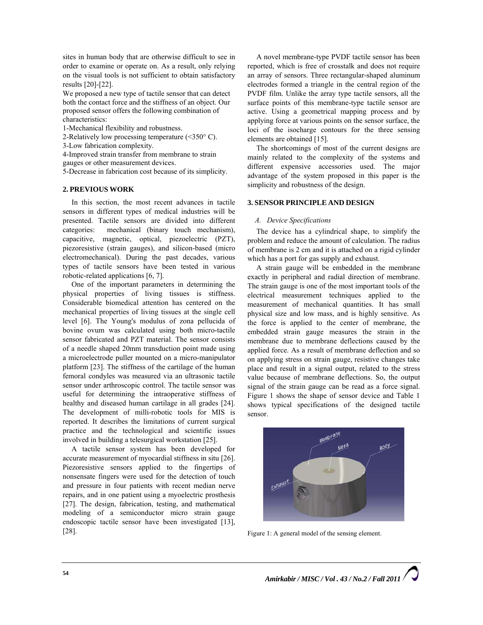sites in human body that are otherwise difficult to see in order to examine or operate on. As a result, only relying on the visual tools is not sufficient to obtain satisfactory results [20]-[22].

We proposed a new type of tactile sensor that can detect both the contact force and the stiffness of an object. Our proposed sensor offers the following combination of characteristics:

1-Mechanical flexibility and robustness.

2-Relatively low processing temperature  $(<350^{\circ} C$ ).

3-Low fabrication complexity.

4-Improved strain transfer from membrane to strain gauges or other measurement devices.

5-Decrease in fabrication cost because of its simplicity.

# **2. PREVIOUS WORK**

In this section, the most recent advances in tactile sensors in different types of medical industries will be presented. Tactile sensors are divided into different categories: mechanical (binary touch mechanism), capacitive, magnetic, optical, piezoelectric (PZT), piezoresistive (strain gauges), and silicon-based (micro electromechanical). During the past decades, various types of tactile sensors have been tested in various robotic-related applications [6, 7].

One of the important parameters in determining the physical properties of living tissues is stiffness. Considerable biomedical attention has centered on the mechanical properties of living tissues at the single cell level [6]. The Young's modulus of zona pellucida of bovine ovum was calculated using both micro-tactile sensor fabricated and PZT material. The sensor consists of a needle shaped 20mm transduction point made using a microelectrode puller mounted on a micro-manipulator platform [23]. The stiffness of the cartilage of the human femoral condyles was measured via an ultrasonic tactile sensor under arthroscopic control. The tactile sensor was useful for determining the intraoperative stiffness of healthy and diseased human cartilage in all grades [24]. The development of milli-robotic tools for MIS is reported. It describes the limitations of current surgical practice and the technological and scientific issues involved in building a telesurgical workstation [25].

A tactile sensor system has been developed for accurate measurement of myocardial stiffness in situ [26]. Piezoresistive sensors applied to the fingertips of nonsensate fingers were used for the detection of touch and pressure in four patients with recent median nerve repairs, and in one patient using a myoelectric prosthesis [27]. The design, fabrication, testing, and mathematical modeling of a semiconductor micro strain gauge endoscopic tactile sensor have been investigated [13], [28].

A novel membrane-type PVDF tactile sensor has been reported, which is free of crosstalk and does not require an array of sensors. Three rectangular-shaped aluminum electrodes formed a triangle in the central region of the PVDF film. Unlike the array type tactile sensors, all the surface points of this membrane-type tactile sensor are active. Using a geometrical mapping process and by applying force at various points on the sensor surface, the loci of the isocharge contours for the three sensing elements are obtained [15].

The shortcomings of most of the current designs are mainly related to the complexity of the systems and different expensive accessories used. The major advantage of the system proposed in this paper is the simplicity and robustness of the design.

## **3. SENSOR PRINCIPLE AND DESIGN**

### *A. Device Specifications*

The device has a cylindrical shape, to simplify the problem and reduce the amount of calculation. The radius of membrane is 2 cm and it is attached on a rigid cylinder which has a port for gas supply and exhaust.

A strain gauge will be embedded in the membrane exactly in peripheral and radial direction of membrane. The strain gauge is one of the most important tools of the electrical measurement techniques applied to the measurement of mechanical quantities. It has small physical size and low mass, and is highly sensitive. As the force is applied to the center of membrane, the embedded strain gauge measures the strain in the membrane due to membrane deflections caused by the applied force. As a result of membrane deflection and so on applying stress on strain gauge, resistive changes take place and result in a signal output, related to the stress value because of membrane deflections. So, the output signal of the strain gauge can be read as a force signal. Figure 1 shows the shape of sensor device and Table 1 shows typical specifications of the designed tactile sensor.



Figure 1: A general model of the sensing element.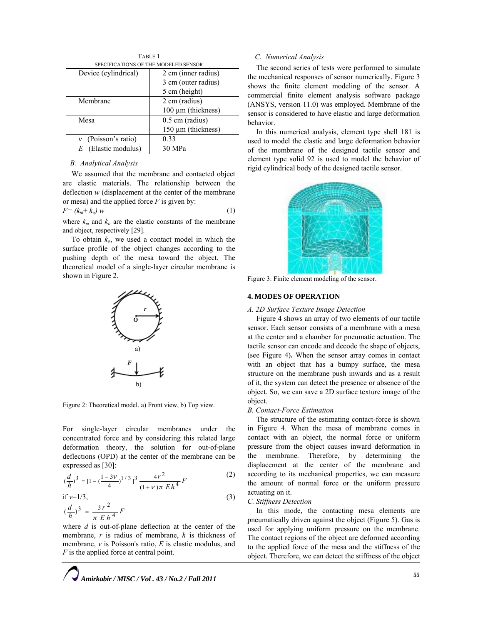| TABLE 1                              |                         |
|--------------------------------------|-------------------------|
| SPECIFICATIONS OF THE MODELED SENSOR |                         |
| Device (cylindrical)                 | 2 cm (inner radius)     |
|                                      | 3 cm (outer radius)     |
|                                      | 5 cm (height)           |
| Membrane                             | 2 cm (radius)           |
|                                      | $100 \mu m$ (thickness) |
| Mesa                                 | $0.5$ cm (radius)       |
|                                      | 150 µm (thickness)      |
| (Poisson's ratio)<br>ν               | 0.33                    |
| (Elastic modulus)<br>E               | 30 MPa                  |

#### *B. Analytical Analysis*

We assumed that the membrane and contacted object are elastic materials. The relationship between the deflection *w* (displacement at the center of the membrane or mesa) and the applied force *F* is given by:

$$
F = (k_m + k_o) w \tag{1}
$$

where  $k_m$  and  $k_o$  are the elastic constants of the membrane and object, respectively [29].

To obtain  $k_o$ , we used a contact model in which the surface profile of the object changes according to the pushing depth of the mesa toward the object. The theoretical model of a single-layer circular membrane is shown in Figure 2.



Figure 2: Theoretical model. a) Front view, b) Top view.

For single-layer circular membranes under the concentrated force and by considering this related large deformation theory, the solution for out-of-plane deflections (OPD) at the center of the membrane can be expressed as [30]:

$$
(\frac{d}{h})^3 = [1 - (\frac{1 - 3\nu}{4})^{1/3}]^3 \frac{4r^2}{(1 + \nu)\pi Eh^4} F
$$
 (2)

if *ν*=1/3,

$$
(\frac{d}{h})^3 = \frac{3r^2}{\pi Eh^4}F
$$

where *d* is out-of-plane deflection at the center of the membrane, *r* is radius of membrane, *h* is thickness of membrane, *ν* is Poisson's ratio, *E* is elastic modulus, and *F* is the applied force at central point.

## *C. Numerical Analysis*

The second series of tests were performed to simulate the mechanical responses of sensor numerically. Figure 3 shows the finite element modeling of the sensor. A commercial finite element analysis software package (ANSYS, version 11.0) was employed. Membrane of the sensor is considered to have elastic and large deformation behavior.

In this numerical analysis, element type shell 181 is used to model the elastic and large deformation behavior of the membrane of the designed tactile sensor and element type solid 92 is used to model the behavior of rigid cylindrical body of the designed tactile sensor.



Figure 3: Finite element modeling of the sensor.

# **4. MODES OF OPERATION**

#### *A. 2D Surface Texture Image Detection*

Figure 4 shows an array of two elements of our tactile sensor. Each sensor consists of a membrane with a mesa at the center and a chamber for pneumatic actuation. The tactile sensor can encode and decode the shape of objects, (see Figure 4)**.** When the sensor array comes in contact with an object that has a bumpy surface, the mesa structure on the membrane push inwards and as a result of it, the system can detect the presence or absence of the object. So, we can save a 2D surface texture image of the object.

#### *B. Contact-Force Estimation*

The structure of the estimating contact-force is shown in Figure 4. When the mesa of membrane comes in contact with an object, the normal force or uniform pressure from the object causes inward deformation in the membrane. Therefore, by determining the displacement at the center of the membrane and according to its mechanical properties, we can measure the amount of normal force or the uniform pressure actuating on it.

#### *C. Stiffness Detection*

(3)

In this mode, the contacting mesa elements are pneumatically driven against the object (Figure 5). Gas is used for applying uniform pressure on the membrane. The contact regions of the object are deformed according to the applied force of the mesa and the stiffness of the object. Therefore, we can detect the stiffness of the object

*Amirkabir / MISC / Vol . 43 / No.2 / Fall 2011*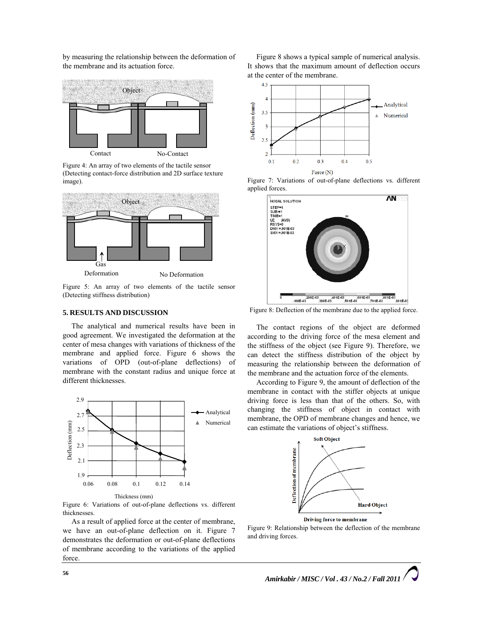by measuring the relationship between the deformation of the membrane and its actuation force.



Figure 4: An array of two elements of the tactile sensor (Detecting contact-force distribution and 2D surface texture image).



Figure 5: An array of two elements of the tactile sensor (Detecting stiffness distribution)

# **5. RESULTS AND DISCUSSION**

The analytical and numerical results have been in good agreement. We investigated the deformation at the center of mesa changes with variations of thickness of the membrane and applied force. Figure 6 shows the variations of OPD (out-of-plane deflections) of membrane with the constant radius and unique force at different thicknesses.



Figure 6: Variations of out-of-plane deflections vs. different thicknesses.

As a result of applied force at the center of membrane, we have an out-of-plane deflection on it. Figure 7 demonstrates the deformation or out-of-plane deflections of membrane according to the variations of the applied force.

Figure 8 shows a typical sample of numerical analysis. It shows that the maximum amount of deflection occurs at the center of the membrane.



Figure 7: Variations of out-of-plane deflections vs. different applied forces.



Figure 8: Deflection of the membrane due to the applied force.

The contact regions of the object are deformed according to the driving force of the mesa element and the stiffness of the object (see Figure 9). Therefore, we can detect the stiffness distribution of the object by measuring the relationship between the deformation of the membrane and the actuation force of the elements.

According to Figure 9, the amount of deflection of the membrane in contact with the stiffer objects at unique driving force is less than that of the others. So, with changing the stiffness of object in contact with membrane, the OPD of membrane changes and hence, we can estimate the variations of object's stiffness.



Figure 9: Relationship between the deflection of the membrane and driving forces.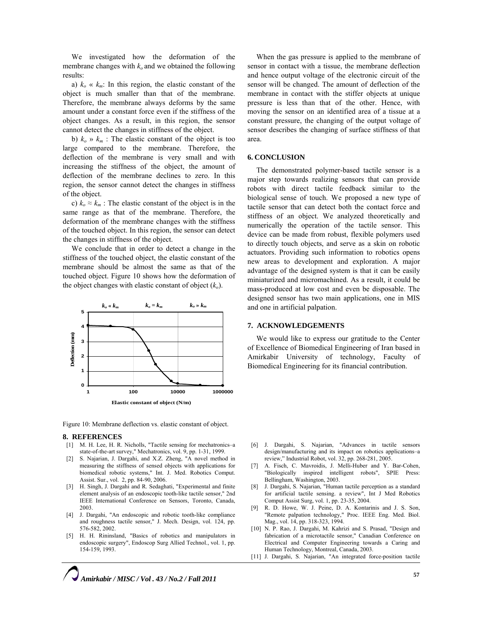We investigated how the deformation of the membrane changes with  $k_0$  and we obtained the following results:

a)  $k_o \ll k_m$ : In this region, the elastic constant of the object is much smaller than that of the membrane. Therefore, the membrane always deforms by the same amount under a constant force even if the stiffness of the object changes. As a result, in this region, the sensor cannot detect the changes in stiffness of the object.

b)  $k_o \gg k_m$ : The elastic constant of the object is too large compared to the membrane. Therefore, the deflection of the membrane is very small and with increasing the stiffness of the object, the amount of deflection of the membrane declines to zero. In this region, the sensor cannot detect the changes in stiffness of the object.

c)  $k_o \approx k_m$ : The elastic constant of the object is in the same range as that of the membrane. Therefore, the deformation of the membrane changes with the stiffness of the touched object. In this region, the sensor can detect the changes in stiffness of the object.

We conclude that in order to detect a change in the stiffness of the touched object, the elastic constant of the membrane should be almost the same as that of the touched object. Figure 10 shows how the deformation of the object changes with elastic constant of object  $(k_0)$ .



Figure 10: Membrane deflection vs. elastic constant of object.

#### **8. REFERENCES**

- [1] M. H. Lee, H. R. Nicholls, "Tactile sensing for mechatronics–a state-of-the-art survey," Mechatronics, vol. 9, pp. 1-31, 1999.
- [2] S. Najarian, J. Dargahi, and X.Z. Zheng, "A novel method in measuring the stiffness of sensed objects with applications for biomedical robotic systems," Int. J. Med. Robotics Comput. Assist. Sur., vol. 2, pp. 84-90, 2006.
- [3] H. Singh, J. Dargahi and R. Sedaghati, "Experimental and finite element analysis of an endoscopic tooth-like tactile sensor," 2nd IEEE International Conference on Sensors, Toronto, Canada, 2003.
- [4] J. Dargahi, "An endoscopic and robotic tooth-like compliance and roughness tactile sensor," J. Mech. Design, vol. 124, pp. 576-582, 2002.
- [5] H. H. Rininsland, "Basics of robotics and manipulators in endoscopic surgery", Endoscop Surg Allied Technol., vol. 1, pp. 154-159, 1993.

When the gas pressure is applied to the membrane of sensor in contact with a tissue, the membrane deflection and hence output voltage of the electronic circuit of the sensor will be changed. The amount of deflection of the membrane in contact with the stiffer objects at unique pressure is less than that of the other. Hence, with moving the sensor on an identified area of a tissue at a constant pressure, the changing of the output voltage of sensor describes the changing of surface stiffness of that area.

#### **6. CONCLUSION**

The demonstrated polymer-based tactile sensor is a major step towards realizing sensors that can provide robots with direct tactile feedback similar to the biological sense of touch. We proposed a new type of tactile sensor that can detect both the contact force and stiffness of an object. We analyzed theoretically and numerically the operation of the tactile sensor. This device can be made from robust, flexible polymers used to directly touch objects, and serve as a skin on robotic actuators. Providing such information to robotics opens new areas to development and exploration. A major advantage of the designed system is that it can be easily miniaturized and micromachined. As a result, it could be mass-produced at low cost and even be disposable. The designed sensor has two main applications, one in MIS and one in artificial palpation.

## **7. ACKNOWLEDGEMENTS**

We would like to express our gratitude to the Center of Excellence of Biomedical Engineering of Iran based in Amirkabir University of technology, Faculty of Biomedical Engineering for its financial contribution.

- [6] J. Dargahi, S. Najarian, "Advances in tactile sensors design/manufacturing and its impact on robotics applications–a review," Industrial Robot, vol. 32, pp. 268-281, 2005.
- [7] A. Fisch, C. Mavroidis, J. Melli-Huber and Y. Bar-Cohen, "Biologically inspired intelligent robots", SPIE Press: Bellingham, Washington, 2003.
- [8] J. Dargahi, S. Najarian, "Human tactile perception as a standard for artificial tactile sensing. a review", Int J Med Robotics Comput Assist Surg, vol. 1, pp. 23-35, 2004.
- [9] R. D. Howe, W. J. Peine, D. A. Kontarinis and J. S. Son, "Remote palpation technology," Proc. IEEE Eng. Med. Biol. Mag., vol. 14, pp. 318-323, 1994.
- [10] N. P. Rao, J. Dargahi, M. Kahrizi and S. Prasad, "Design and fabrication of a microtactile sensor," Canadian Conference on Electrical and Computer Engineering towards a Caring and Human Technology, Montreal, Canada, 2003.
- [11] J. Dargahi, S. Najarian, "An integrated force-position tactile

*Amirkabir / MISC / Vol . 43 / No.2 / Fall 2011*